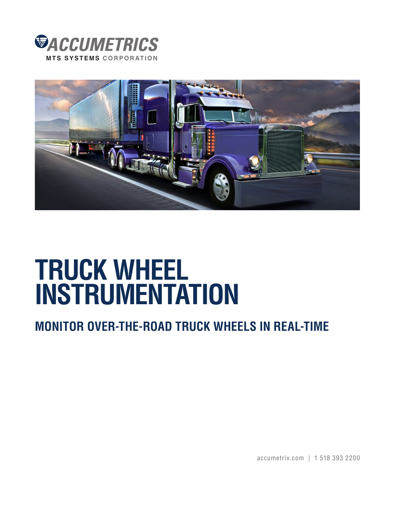



## **TRUCK WHEEL INSTRUMENTATION**

## **MONITOR OVER-THE-ROAD TRUCK WHEELS IN REAL-TIME**

accumetrix.com | 1 518 393 2200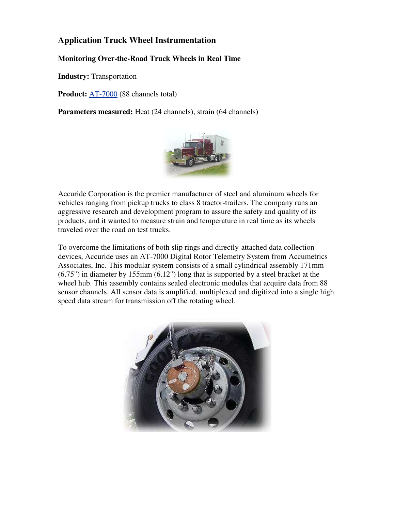## **Application Truck Wheel Instrumentation**

## **Monitoring Over-the-Road Truck Wheels in Real Time**

**Industry:** Transportation

**Product:** [AT-7000](http://www.accumetrix.com/Multi-ChannelTelemetry/AT7000) (88 channels total)

**Parameters measured:** Heat (24 channels), strain (64 channels)



Accuride Corporation is the premier manufacturer of steel and aluminum wheels for vehicles ranging from pickup trucks to class 8 tractor-trailers. The company runs an aggressive research and development program to assure the safety and quality of its products, and it wanted to measure strain and temperature in real time as its wheels traveled over the road on test trucks.

To overcome the limitations of both slip rings and directly-attached data collection devices, Accuride uses an AT-7000 Digital Rotor Telemetry System from Accumetrics Associates, Inc. This modular system consists of a small cylindrical assembly 171mm (6.75") in diameter by 155mm (6.12") long that is supported by a steel bracket at the wheel hub. This assembly contains sealed electronic modules that acquire data from 88 sensor channels. All sensor data is amplified, multiplexed and digitized into a single high speed data stream for transmission off the rotating wheel.

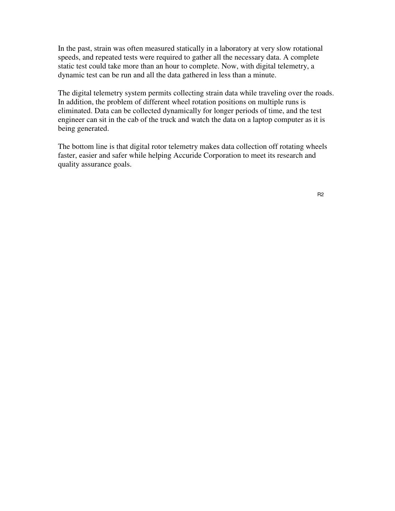In the past, strain was often measured statically in a laboratory at very slow rotational speeds, and repeated tests were required to gather all the necessary data. A complete static test could take more than an hour to complete. Now, with digital telemetry, a dynamic test can be run and all the data gathered in less than a minute.

The digital telemetry system permits collecting strain data while traveling over the roads. In addition, the problem of different wheel rotation positions on multiple runs is eliminated. Data can be collected dynamically for longer periods of time, and the test engineer can sit in the cab of the truck and watch the data on a laptop computer as it is being generated.

The bottom line is that digital rotor telemetry makes data collection off rotating wheels faster, easier and safer while helping Accuride Corporation to meet its research and quality assurance goals.